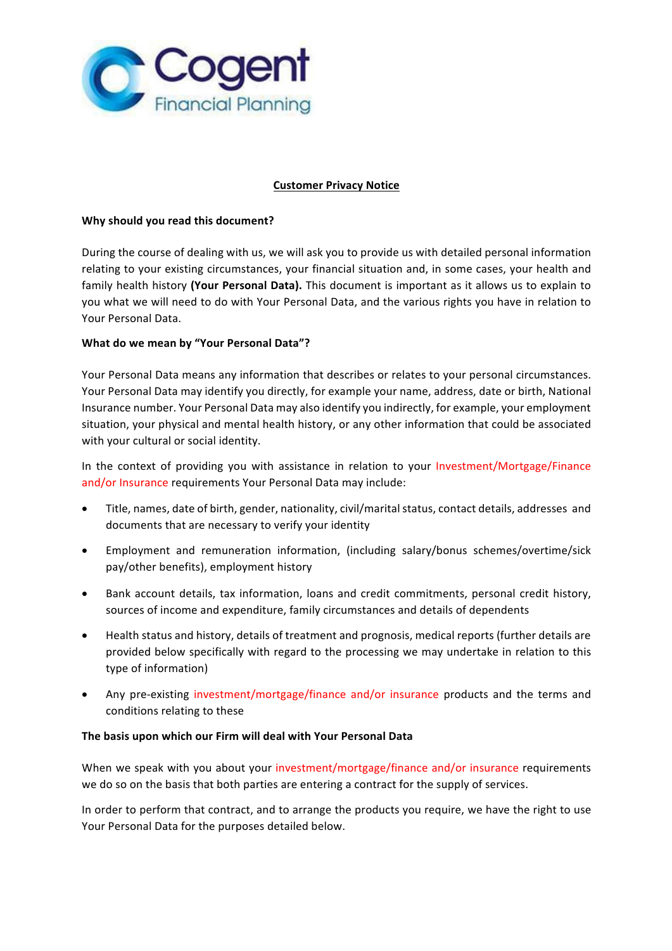

# **Customer Privacy Notice**

## **Why should you read this document?**

During the course of dealing with us, we will ask you to provide us with detailed personal information relating to your existing circumstances, your financial situation and, in some cases, your health and family health history (Your Personal Data). This document is important as it allows us to explain to you what we will need to do with Your Personal Data, and the various rights you have in relation to Your Personal Data.

# **What do we mean by "Your Personal Data"?**

Your Personal Data means any information that describes or relates to your personal circumstances. Your Personal Data may identify you directly, for example your name, address, date or birth, National Insurance number. Your Personal Data may also identify you indirectly, for example, your employment situation, your physical and mental health history, or any other information that could be associated with your cultural or social identity.

In the context of providing you with assistance in relation to your Investment/Mortgage/Finance and/or Insurance requirements Your Personal Data may include:

- Title, names, date of birth, gender, nationality, civil/marital status, contact details, addresses and documents that are necessary to verify your identity
- Employment and remuneration information, (including salary/bonus schemes/overtime/sick pay/other benefits), employment history
- Bank account details, tax information, loans and credit commitments, personal credit history, sources of income and expenditure, family circumstances and details of dependents
- Health status and history, details of treatment and prognosis, medical reports (further details are provided below specifically with regard to the processing we may undertake in relation to this type of information)
- Any pre-existing investment/mortgage/finance and/or insurance products and the terms and conditions relating to these

### The basis upon which our Firm will deal with Your Personal Data

When we speak with you about your investment/mortgage/finance and/or insurance requirements we do so on the basis that both parties are entering a contract for the supply of services.

In order to perform that contract, and to arrange the products you require, we have the right to use Your Personal Data for the purposes detailed below.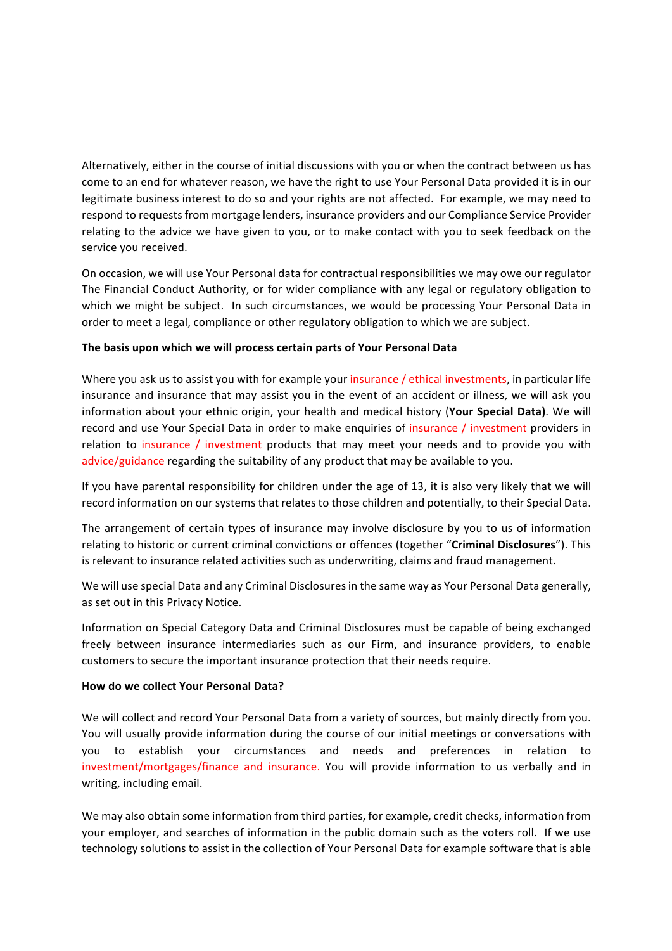Alternatively, either in the course of initial discussions with you or when the contract between us has come to an end for whatever reason, we have the right to use Your Personal Data provided it is in our legitimate business interest to do so and your rights are not affected. For example, we may need to respond to requests from mortgage lenders, insurance providers and our Compliance Service Provider relating to the advice we have given to you, or to make contact with you to seek feedback on the service you received.

On occasion, we will use Your Personal data for contractual responsibilities we may owe our regulator The Financial Conduct Authority, or for wider compliance with any legal or regulatory obligation to which we might be subject. In such circumstances, we would be processing Your Personal Data in order to meet a legal, compliance or other regulatory obligation to which we are subject.

# The basis upon which we will process certain parts of Your Personal Data

Where you ask us to assist you with for example your insurance / ethical investments, in particular life insurance and insurance that may assist you in the event of an accident or illness, we will ask you information about your ethnic origin, your health and medical history (Your Special Data). We will record and use Your Special Data in order to make enquiries of insurance / investment providers in relation to insurance / investment products that may meet your needs and to provide you with advice/guidance regarding the suitability of any product that may be available to you.

If you have parental responsibility for children under the age of 13, it is also very likely that we will record information on our systems that relates to those children and potentially, to their Special Data.

The arrangement of certain types of insurance may involve disclosure by you to us of information relating to historic or current criminal convictions or offences (together "**Criminal Disclosures**"). This is relevant to insurance related activities such as underwriting, claims and fraud management.

We will use special Data and any Criminal Disclosures in the same way as Your Personal Data generally, as set out in this Privacy Notice.

Information on Special Category Data and Criminal Disclosures must be capable of being exchanged freely between insurance intermediaries such as our Firm, and insurance providers, to enable customers to secure the important insurance protection that their needs require.

## **How do we collect Your Personal Data?**

We will collect and record Your Personal Data from a variety of sources, but mainly directly from you. You will usually provide information during the course of our initial meetings or conversations with you to establish your circumstances and needs and preferences in relation to investment/mortgages/finance and insurance. You will provide information to us verbally and in writing, including email.

We may also obtain some information from third parties, for example, credit checks, information from your employer, and searches of information in the public domain such as the voters roll. If we use technology solutions to assist in the collection of Your Personal Data for example software that is able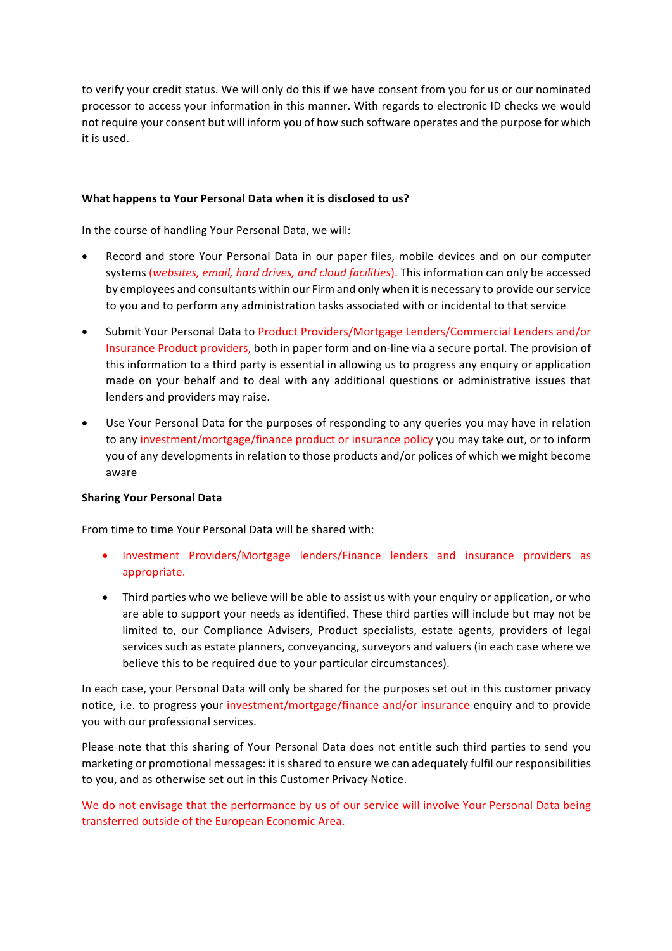to verify your credit status. We will only do this if we have consent from you for us or our nominated processor to access your information in this manner. With regards to electronic ID checks we would not require your consent but will inform you of how such software operates and the purpose for which it is used.

### **What happens to Your Personal Data when it is disclosed to us?**

In the course of handling Your Personal Data, we will:

- Record and store Your Personal Data in our paper files, mobile devices and on our computer systems (websites, email, hard drives, and cloud facilities). This information can only be accessed by employees and consultants within our Firm and only when it is necessary to provide our service to you and to perform any administration tasks associated with or incidental to that service
- Submit Your Personal Data to Product Providers/Mortgage Lenders/Commercial Lenders and/or Insurance Product providers, both in paper form and on-line via a secure portal. The provision of this information to a third party is essential in allowing us to progress any enquiry or application made on your behalf and to deal with any additional questions or administrative issues that lenders and providers may raise.
- Use Your Personal Data for the purposes of responding to any queries you may have in relation to any investment/mortgage/finance product or insurance policy you may take out, or to inform you of any developments in relation to those products and/or polices of which we might become aware

#### **Sharing Your Personal Data**

From time to time Your Personal Data will be shared with:

- Investment Providers/Mortgage lenders/Finance lenders and insurance providers as appropriate.
- Third parties who we believe will be able to assist us with your enquiry or application, or who are able to support your needs as identified. These third parties will include but may not be limited to, our Compliance Advisers, Product specialists, estate agents, providers of legal services such as estate planners, conveyancing, surveyors and valuers (in each case where we believe this to be required due to your particular circumstances).

In each case, your Personal Data will only be shared for the purposes set out in this customer privacy notice, i.e. to progress your investment/mortgage/finance and/or insurance enquiry and to provide you with our professional services.

Please note that this sharing of Your Personal Data does not entitle such third parties to send you marketing or promotional messages: it is shared to ensure we can adequately fulfil our responsibilities to you, and as otherwise set out in this Customer Privacy Notice.

We do not envisage that the performance by us of our service will involve Your Personal Data being transferred outside of the European Economic Area.